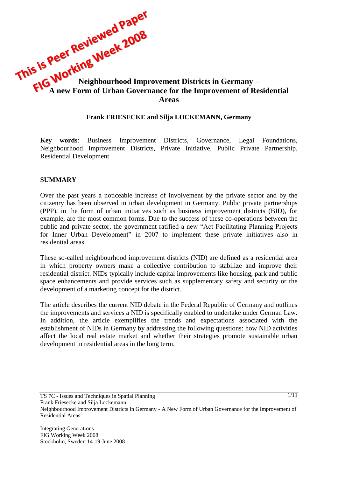This is Peer Inter**posed to the 2008**<br>This is Peer Interpreted to the Neighbourhood Improvement Districts in Germany – **A new Form of Urban Governance for the Improvement of Residential Areas**

#### **Frank FRIESECKE and Silja LOCKEMANN, Germany**

**Key words**: Business Improvement Districts, Governance, Legal Foundations, Neighbourhood Improvement Districts, Private Initiative, Public Private Partnership, Residential Development

#### **SUMMARY**

Over the past years a noticeable increase of involvement by the private sector and by the citizenry has been observed in urban development in Germany. Public private partnerships (PPP), in the form of urban initiatives such as business improvement districts (BID), for example, are the most common forms. Due to the success of these co-operations between the public and private sector, the government ratified a new "Act Facilitating Planning Projects for Inner Urban Development" in 2007 to implement these private initiatives also in residential areas.

These so-called neighbourhood improvement districts (NID) are defined as a residential area in which property owners make a collective contribution to stabilize and improve their residential district. NIDs typically include capital improvements like housing, park and public space enhancements and provide services such as supplementary safety and security or the development of a marketing concept for the district.

The article describes the current NID debate in the Federal Republic of Germany and outlines the improvements and services a NID is specifically enabled to undertake under German Law. In addition, the article exemplifies the trends and expectations associated with the establishment of NIDs in Germany by addressing the following questions: how NID activities affect the local real estate market and whether their strategies promote sustainable urban development in residential areas in the long term.

TS 7C - Issues and Techniques in Spatial Planning

Neighbourhood Improvement Districts in Germany - A New Form of Urban Governance for the Improvement of Residential Areas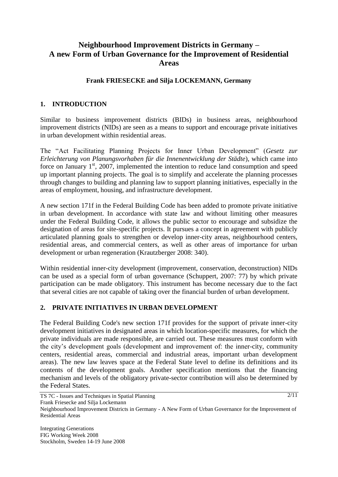# **Neighbourhood Improvement Districts in Germany – A new Form of Urban Governance for the Improvement of Residential Areas**

#### **Frank FRIESECKE and Silja LOCKEMANN, Germany**

## **1. INTRODUCTION**

Similar to business improvement districts (BIDs) in business areas, neighbourhood improvement districts (NIDs) are seen as a means to support and encourage private initiatives in urban development within residential areas.

The "Act Facilitating Planning Projects for Inner Urban Development" (*Gesetz zur Erleichterung von Planungsvorhaben für die Innenentwicklung der Städte*), which came into force on January  $1<sup>st</sup>$ , 2007, implemented the intention to reduce land consumption and speed up important planning projects. The goal is to simplify and accelerate the planning processes through changes to building and planning law to support planning initiatives, especially in the areas of employment, housing, and infrastructure development.

A new section 171f in the Federal Building Code has been added to promote private initiative in urban development. In accordance with state law and without limiting other measures under the Federal Building Code, it allows the public sector to encourage and subsidize the designation of areas for site-specific projects. It pursues a concept in agreement with publicly articulated planning goals to strengthen or develop inner-city areas, neighbourhood centers, residential areas, and commercial centers, as well as other areas of importance for urban development or urban regeneration (Krautzberger 2008: 340).

Within residential inner-city development (improvement, [conservation,](http://dict.leo.org/ende?lp=ende&p=eL4jU.&search=conservation) [deconstruction\)](http://dict.leo.org/ende?lp=ende&p=eL4jU.&search=deconstruction) NIDs can be used as a special form of urban governance (Schuppert, 2007: 77) by which private participation can be made obligatory. This instrument has become necessary due to the fact that several cities are not capable of taking over the financial burden of urban development.

## **2. PRIVATE INITIATIVES IN URBAN DEVELOPMENT**

The Federal Building Code's new section 171f provides for the support of private inner-city development initiatives in designated areas in which location-specific measures, for which the private individuals are made responsible, are carried out. These measures must conform with the city"s development goals (development and improvement of: the inner-city, community centers, residential areas, commercial and industrial areas, important urban development areas). The new law leaves space at the Federal State level to define its definitions and its contents of the development goals. Another specification mentions that the financing mechanism and levels of the obligatory private-sector contribution will also be determined by the Federal States.

TS 7C - Issues and Techniques in Spatial Planning Frank Friesecke and Silja Lockemann Neighbourhood Improvement Districts in Germany - A New Form of Urban Governance for the Improvement of Residential Areas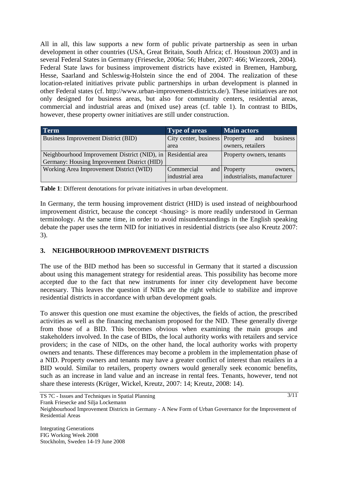All in all, this law supports a new form of public private partnership as seen in urban development in other countries (USA, Great Britain, South Africa; cf. Houstoun 2003) and in several Federal States in Germany (Friesecke, 2006a: 56; Huber, 2007: 466; Wiezorek, 2004). Federal State laws for business improvement districts have existed in Bremen, Hamburg, Hesse, Saarland and Schleswig-Holstein since the end of 2004. The realization of these location-related initiatives private public partnerships in urban development is planned in other Federal states (cf. http://www.urban-improvement-districts.de/). These initiatives are not only designed for business areas, but also for community centers, residential areas, commercial and industrial areas and (mixed use) areas (cf. table 1). In contrast to BIDs, however, these property owner initiatives are still under construction.

| <b>Term</b>                                                   | <b>Type of areas</b>           | <b>Main actors</b>           |
|---------------------------------------------------------------|--------------------------------|------------------------------|
| Business Improvement District (BID)                           | City center, business Property | business<br>and              |
|                                                               | area                           | owners, retailers            |
| Neighbourhood Improvement District (NID), in Residential area |                                | Property owners, tenants     |
| Germany: Housing Improvement District (HID)                   |                                |                              |
| Working Area Improvement District (WID)                       | Commercial                     | and Property<br>owners,      |
|                                                               | industrial area                | industrialists, manufacturer |

**Table 1**: Different denotations for private initiatives in urban development.

In Germany, the term housing improvement district (HID) is used instead of neighbourhood improvement district, because the concept <housing> is more readily understood in German terminology. At the same time, in order to avoid misunderstandings in the English speaking debate the paper uses the term NID for initiatives in residential districts (see also Kreutz 2007: 3).

# **3. NEIGHBOURHOOD IMPROVEMENT DISTRICTS**

The use of the BID method has been so successful in Germany that it started a discussion about using this management strategy for residential areas. This possibility has become more accepted due to the fact that new instruments for inner city development have become necessary. This leaves the question if NIDs are the right vehicle to stabilize and improve residential districts in accordance with urban development goals.

To answer this question one must examine the objectives, the fields of action, the prescribed activities as well as the financing mechanism proposed for the NID. These generally diverge from those of a BID. This becomes obvious when examining the main groups and stakeholders involved. In the case of BIDs, the local authority works with retailers and service providers; in the case of NIDs, on the other hand, the local authority works with property owners and tenants. These differences may become a problem in the implementation phase of a NID. Property owners and tenants may have a greater conflict of interest than retailers in a BID would. Similar to retailers, property owners would generally seek economic benefits, such as an increase in land value and an increase in rental fees. Tenants, however, tend not share these interests (Krüger, Wickel, Kreutz, 2007: 14; Kreutz, 2008: 14).

TS 7C - Issues and Techniques in Spatial Planning

Neighbourhood Improvement Districts in Germany - A New Form of Urban Governance for the Improvement of Residential Areas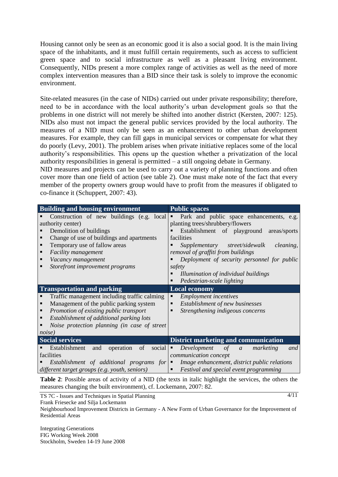Housing cannot only be seen as an economic good it is also a social good. It is the main living space of the inhabitants, and it must fulfill certain requirements, such as access to sufficient green space and to social infrastructure as well as a pleasant living environment. Consequently, NIDs present a more complex range of activities as well as the need of more complex intervention measures than a BID since their task is solely to improve the economic environment.

Site-related measures (in the case of NIDs) carried out under private responsibility; therefore, need to be in accordance with the local authority"s urban development goals so that the problems in one district will not merely be shifted into another district (Kersten, 2007: 125). NIDs also must not impact the general public services provided by the local authority. The measures of a NID must only be seen as an enhancement to other urban development measures. For example, they can fill gaps in municipal services or compensate for what they do poorly (Levy, 2001). The problem arises when private initiative replaces some of the local authority"s responsibilities. This opens up the question whether a privatization of the local authority responsibilities in general is permitted – a still ongoing debate in Germany.

NID measures and projects can be used to carry out a variety of planning functions and often cover more than one field of action (see table 2). One must make note of the fact that every member of the property owners group would have to profit from the measures if obligated to co-finance it (Schuppert, 2007: 43).

| <b>Building and housing environment</b>           | <b>Public spaces</b>                                         |  |
|---------------------------------------------------|--------------------------------------------------------------|--|
| Construction of new buildings (e.g. local         | Park and public space enhancements, e.g.<br>٠                |  |
| authority center)                                 | planting trees/shrubbery/flowers                             |  |
| Demolition of buildings                           | Establishment of playground<br>areas/sports                  |  |
| Change of use of buildings and apartments         | facilities                                                   |  |
| Temporary use of fallow areas                     | street/sidewalk<br>Supplementary<br>cleaning,                |  |
| Facility management                               | removal of graffiti from buildings                           |  |
| Vacancy management                                | Deployment of security personnel for public                  |  |
| Storefront improvement programs                   | safety                                                       |  |
|                                                   | Illumination of individual buildings                         |  |
|                                                   | Pedestrian-scale lighting                                    |  |
| <b>Transportation and parking</b>                 | <b>Local economy</b>                                         |  |
| Traffic management including traffic calming      | <b>Employment</b> incentives<br>٠                            |  |
| Management of the public parking system           | Establishment of new businesses<br>п                         |  |
| Promotion of existing public transport            | Strengthening indigeous concerns                             |  |
| Establishment of additional parking lots          |                                                              |  |
| Noise protection planning (in case of street      |                                                              |  |
| noise)                                            |                                                              |  |
| <b>Social services</b>                            | <b>District marketing and communication</b>                  |  |
| Establishment<br>operation<br>of<br>social<br>and | Development<br>of<br>marketing<br>and<br>٠<br>$\mathfrak{a}$ |  |
| facilities                                        | communication concept                                        |  |
| Establishment of additional programs for          | Image enhancement, district public relations<br>٠            |  |
| different target groups (e.g. youth, seniors)     | Festival and special event programming                       |  |

**Table 2**: Possible areas of activity of a NID (the texts in italic highlight the services, the others the measures changing the built environment), cf. Lockemann, 2007: 82.

TS 7C - Issues and Techniques in Spatial Planning

 $4/11$ 

Frank Friesecke and Silja Lockemann

Neighbourhood Improvement Districts in Germany - A New Form of Urban Governance for the Improvement of Residential Areas

Integrating Generations FIG Working Week 2008 Stockholm, Sweden 14-19 June 2008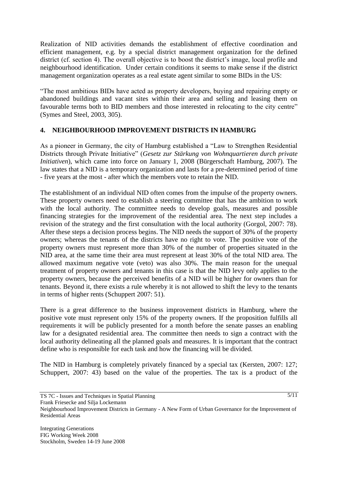Realization of NID activities demands the establishment of effective coordination and efficient management, e.g. by a special district management organization for the defined district (cf. section 4). The overall objective is to boost the district's image, local profile and neighbourhood identification. Under certain conditions it seems to make sense if the district management organization operates as a real estate agent similar to some BIDs in the US:

"The most ambitious BIDs have acted as property developers, buying and repairing empty or abandoned buildings and vacant sites within their area and selling and leasing them on favourable terms both to BID members and those interested in relocating to the city centre" (Symes and Steel, 2003, 305).

## **4. NEIGHBOURHOOD IMPROVEMENT DISTRICTS IN HAMBURG**

As a pioneer in Germany, the city of Hamburg established a "Law to Strengthen Residential Districts through Private Initiative" (*Gesetz zur Stärkung von Wohnquartieren durch private Initiativen*), which came into force on January 1, 2008 (Bürgerschaft Hamburg, 2007). The law states that a NID is a temporary organization and lasts for a pre-determined period of time - five years at the most - after which the members vote to retain the NID.

The establishment of an individual NID often comes from the impulse of the property owners. These property owners need to establish a steering committee that has the ambition to work with the local authority. The committee needs to develop goals, measures and possible financing strategies for the improvement of the residential area. The next step includes a revision of the strategy and the first consultation with the local authority (Gorgol, 2007: 78). After these steps a decision process begins. The NID needs the support of 30% of the property owners; whereas the tenants of the districts have no right to vote. The positive vote of the property owners must represent more than 30% of the number of properties situated in the NID area, at the same time their area must represent at least 30% of the total NID area. The allowed maximum negative vote (veto) was also 30%. The main reason for the unequal treatment of property owners and tenants in this case is that the NID levy only applies to the property owners, because the perceived benefits of a NID will be higher for owners than for tenants. Beyond it, there exists a rule whereby it is not allowed to shift the levy to the tenants in terms of higher rents (Schuppert 2007: 51).

There is a great difference to the business improvement districts in Hamburg, where the positive vote must represent only 15% of the property owners. If the proposition fulfills all requirements it will be publicly presented for a month before the senate passes an enabling law for a designated residential area. The committee then needs to sign a contract with the local authority delineating all the planned goals and measures. It is important that the contract define who is responsible for each task and how the financing will be divided.

The NID in Hamburg is completely privately financed by a special tax (Kersten, 2007: 127; Schuppert, 2007: 43) based on the value of the properties. The tax is a product of the

TS 7C - Issues and Techniques in Spatial Planning

Neighbourhood Improvement Districts in Germany - A New Form of Urban Governance for the Improvement of Residential Areas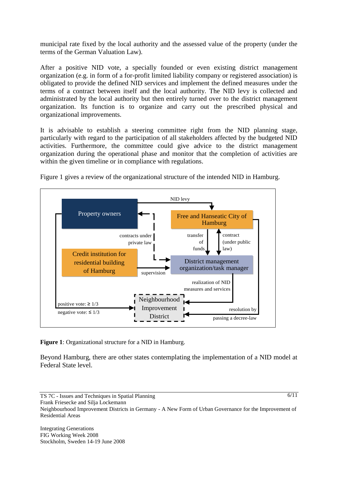municipal rate fixed by the local authority and the assessed value of the property (under the terms of the German Valuation Law).

After a positive NID vote, a specially founded or even existing district management organization (e.g. in form of a for-profit limited liability company or registered association) is obligated to provide the defined NID services and implement the defined measures under the terms of a contract between itself and the local authority. The NID levy is collected and administrated by the local authority but then entirely turned over to the district management organization. Its function is to organize and carry out the prescribed physical and organizational improvements.

It is advisable to establish a steering committee right from the NID planning stage, particularly with regard to the participation of all stakeholders affected by the budgeted NID activities. Furthermore, the committee could give advice to the district management organization during the operational phase and monitor that the completion of activities are within the given timeline or in compliance with regulations.

Figure 1 gives a review of the organizational structure of the intended NID in Hamburg.



**Figure 1**: Organizational structure for a NID in Hamburg.

Beyond Hamburg, there are other states contemplating the implementation of a NID model at Federal State level.

TS 7C - Issues and Techniques in Spatial Planning Frank Friesecke and Silja Lockemann Neighbourhood Improvement Districts in Germany - A New Form of Urban Governance for the Improvement of Residential Areas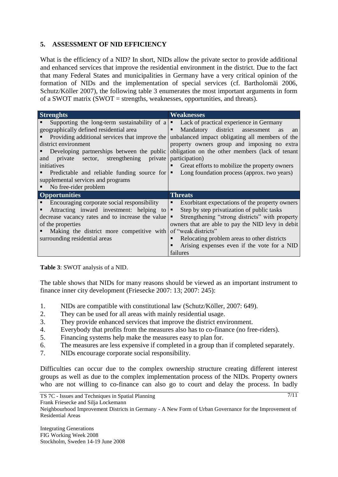## **5. ASSESSMENT OF NID EFFICIENCY**

What is the efficiency of a NID? In short, NIDs allow the private sector to provide additional and enhanced services that improve the residential environment in the district. Due to the fact that many Federal States and municipalities in Germany have a very critical opinion of the formation of NIDs and the implementation of special services (cf. Bartholomäi 2006, Schutz/Köller 2007), the following table 3 enumerates the most important arguments in form of a SWOT matrix (SWOT = strengths, weaknesses, opportunities, and threats).

| <b>Strenghts</b>                                 | Weaknesses                                            |
|--------------------------------------------------|-------------------------------------------------------|
| Supporting the long-term sustainability of a     | Lack of practical experience in Germany<br>٠          |
| geographically defined residential area          | Mandatory district assessment<br>■<br><b>as</b><br>an |
| Providing additional services that improve the   | unbalanced impact obligating all members of the       |
| district environment                             | property owners group and imposing no extra           |
| Developing partnerships between the public       | obligation on the other members (lack of tenant       |
| private sector, strengthening<br>private<br>and  | participation)                                        |
| initiatives                                      | Great efforts to mobilize the property owners         |
| Predictable and reliable funding source for      | Long foundation process (approx. two years)<br>٠      |
| supplemental services and programs               |                                                       |
| No free-rider problem                            |                                                       |
| <b>Opportunities</b>                             | <b>Threats</b>                                        |
| Encouraging corporate social responsibility      | Exorbitant expectations of the property owners<br>п   |
| Attracting inward investment: helping to         | Step by step privatization of public tasks<br>п       |
| decrease vacancy rates and to increase the value | Strengthening "strong districts" with property<br>٠   |
| of the properties                                | owners that are able to pay the NID levy in debit     |
| Making the district more competitive with        | of "weak districts"                                   |
| surrounding residential areas                    | Relocating problem areas to other districts           |
|                                                  | Arising expenses even if the vote for a NID           |
|                                                  | failures                                              |

**Table 3**: SWOT analysis of a NID.

The table shows that NIDs for many reasons should be viewed as an important instrument to finance inner city development (Friesecke 2007: 13; 2007: 245):

- 1. NIDs are compatible with constitutional law (Schutz/Köller, 2007: 649).
- 2. They can be used for all areas with mainly residential usage.
- 3. They provide enhanced services that improve the district environment.
- 4. Everybody that profits from the measures also has to co-finance (no free-riders).
- 5. Financing systems help make the measures easy to plan for.
- 6. The measures are less expensive if completed in a group than if completed separately.
- 7. NIDs encourage corporate social responsibility.

Difficulties can occur due to the complex ownership structure creating different interest groups as well as due to the complex implementation process of the NIDs. Property owners who are not willing to co-finance can also go to court and delay the process. In badly

TS 7C - Issues and Techniques in Spatial Planning

Frank Friesecke and Silja Lockemann

Neighbourhood Improvement Districts in Germany - A New Form of Urban Governance for the Improvement of Residential Areas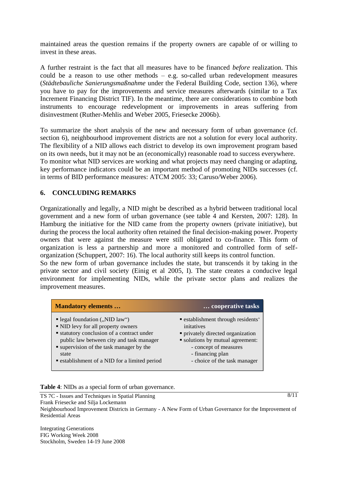maintained areas the question remains if the property owners are capable of or willing to invest in these areas.

A further restraint is the fact that all measures have to be financed *before* realization. This could be a reason to use other methods – e.g. so-called urban redevelopment measures (*Städtebauliche Sanierungsmaßnahme* under the Federal Building Code, section 136), where you have to pay for the improvements and service measures afterwards (similar to a Tax Increment Financing District TIF). In the meantime, there are considerations to combine both instruments to encourage redevelopment or improvements in areas suffering from disinvestment (Ruther-Mehlis and Weber 2005, Friesecke 2006b).

To summarize the short analysis of the new and necessary form of urban governance (cf. section 6), neighbourhood improvement districts are not a solution for every local authority. The flexibility of a NID allows each district to develop its own improvement program based on its own needs, but it may not be an (economically) reasonable road to success everywhere. To monitor what NID services are working and what projects may need changing or adapting, key performance indicators could be an important method of promoting NIDs successes (cf. in terms of BID performance measures: ATCM 2005: 33; Caruso/Weber 2006).

## **6. CONCLUDING REMARKS**

Organizationally and legally, a NID might be described as a hybrid between traditional local government and a new form of urban governance (see table 4 and Kersten, 2007: 128). In Hamburg the initiative for the NID came from the property owners (private initiative), but during the process the local authority often retained the final decision-making power. Property owners that were against the measure were still obligated to co-finance. This form of organization is less a partnership and more a monitored and controlled form of selforganization (Schuppert, 2007: 16). The local authority still keeps its control function.

So the new form of urban governance includes the state, but transcends it by taking in the private sector and civil society (Einig et al 2005, I). The state creates a conducive legal environment for implementing NIDs, while the private sector plans and realizes the improvement measures.

| <b>Mandatory elements</b>                       | cooperative tasks                  |
|-------------------------------------------------|------------------------------------|
| legal foundation $($ , NID law" $)$             | " establishment through residents' |
| • NID levy for all property owners              | initatives                         |
| <b>statutory conclusion of a contract under</b> | • privately directed organization  |
| public law between city and task manager        | • solutions by mutual agreement:   |
| • supervision of the task manager by the        | - concept of measures              |
| state                                           | - financing plan                   |
| • establishment of a NID for a limited period   | - choice of the task manager       |

**Table 4**: NIDs as a special form of urban governance.

TS 7C - Issues and Techniques in Spatial Planning Frank Friesecke and Silja Lockemann Neighbourhood Improvement Districts in Germany - A New Form of Urban Governance for the Improvement of Residential Areas

Integrating Generations FIG Working Week 2008 Stockholm, Sweden 14-19 June 2008 8/11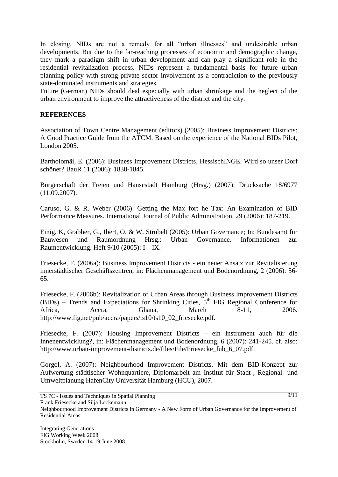In closing, NIDs are not a remedy for all "urban illnesses" and undesirable urban developments. But due to the far-reaching processes of economic and demographic change, they mark a paradigm shift in urban development and can play a significant role in the residential revitalization process. NIDs represent a fundamental basis for future urban planning policy with strong private sector involvement as a contradiction to the previously state-dominated instruments and strategies.

Future (German) NIDs should deal especially with urban shrinkage and the neglect of the urban environment to improve the attractiveness of the district and the city.

#### **REFERENCES**

Association of Town Centre Management (editors) (2005): Business Improvement Districts: A Good Practice Guide from the ATCM. Based on the experience of the National BIDs Pilot, London 2005.

Bartholomäi, E. (2006): Business Improvement Districts, HessischINGE. Wird so unser Dorf schöner? BauR 11 (2006): 1838-1845.

Bürgerschaft der Freien und Hansestadt Hamburg (Hrsg.) (2007): Drucksache 18/6977 (11.09.2007).

Caruso, G. & R. Weber (2006): Getting the Max fort he Tax: An Examination of BID Performance Measures. International Journal of Public Administration, 29 (2006): 187-219.

Einig, K, Grabher, G., Ibert, O. & W. Strubelt (2005): Urban Governance; In: Bundesamt für Bauwesen und Raumordnung Hrsg.: Urban Governance. Informationen zur Raumentwicklung. Heft 9/10 (2005): I – IX.

Friesecke, F. (2006a): Business Improvement Districts - ein neuer Ansatz zur Revitalisierung innerstädtischer Geschäftszentren, in: Flächenmanagement und Bodenordnung, 2 (2006): 56- 65.

Friesecke, F. (2006b): Revitalization of Urban Areas through Business Improvement Districts (BIDs) – Trends and Expectations for Shrinking Cities,  $5<sup>th</sup>$  FIG Regional Conference for Africa, Accra, Ghana, March 8-11, 2006. http://www.fig.net/pub/accra/papers/ts10/ts10\_02\_friesecke.pdf.

Friesecke, F. (2007): Housing Improvement Districts – ein Instrument auch für die Innenentwicklung?, in: Flächenmanagement und Bodenordnung, 6 (2007): 241-245. cf. also: http://www.urban-improvement-districts.de/files/File/Friesecke\_fub\_6\_07.pdf.

Gorgol, A. (2007): Neighbourhood Improvement Districts. Mit dem BID-Konzept zur Aufwertung städtischer Wohnquartiere, Diplomarbeit am Institut für Stadt-, Regional- und Umweltplanung HafenCity Universität Hamburg (HCU), 2007.

TS 7C - Issues and Techniques in Spatial Planning

Neighbourhood Improvement Districts in Germany - A New Form of Urban Governance for the Improvement of Residential Areas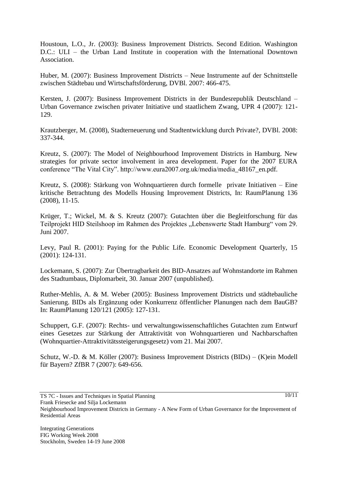Houstoun, L.O., Jr. (2003): Business Improvement Districts. Second Edition. Washington D.C.: ULI – the Urban Land Institute in cooperation with the International Downtown Association.

Huber, M. (2007): Business Improvement Districts – Neue Instrumente auf der Schnittstelle zwischen Städtebau und Wirtschaftsförderung, DVBl. 2007: 466-475.

Kersten, J. (2007): Business Improvement Districts in der Bundesrepublik Deutschland – Urban Governance zwischen privater Initiative und staatlichem Zwang, UPR 4 (2007): 121- 129.

Krautzberger, M. (2008), Stadterneuerung und Stadtentwicklung durch Private?, DVBl. 2008: 337-344.

Kreutz, S. (2007): The Model of Neighbourhood Improvement Districts in Hamburg. New strategies for private sector involvement in area development. Paper for the 2007 EURA conference "The Vital City". http://www.eura2007.org.uk/media/media\_48167\_en.pdf.

Kreutz, S. (2008): Stärkung von Wohnquartieren durch formelle private Initiativen – Eine kritische Betrachtung des Modells Housing Improvement Districts, In: RaumPlanung 136 (2008), 11-15.

Krüger, T.; Wickel, M. & S. Kreutz (2007): Gutachten über die Begleitforschung für das Teilprojekt HID Steilshoop im Rahmen des Projektes "Lebenswerte Stadt Hamburg" vom 29. Juni 2007.

Levy, Paul R. (2001): Paying for the Public Life. Economic Development Quarterly, 15 (2001): 124-131.

Lockemann, S. (2007): Zur Übertragbarkeit des BID-Ansatzes auf Wohnstandorte im Rahmen des Stadtumbaus, Diplomarbeit, 30. Januar 2007 (unpublished).

Ruther-Mehlis, A. & M. Weber (2005): Business Improvement Districts und städtebauliche Sanierung. BIDs als Ergänzung oder Konkurrenz öffentlicher Planungen nach dem BauGB? In: RaumPlanung 120/121 (2005): 127-131.

Schuppert, G.F. (2007): Rechts- und verwaltungswissenschaftliches Gutachten zum Entwurf eines Gesetzes zur Stärkung der Attraktivität von Wohnquartieren und Nachbarschaften (Wohnquartier-Attraktivitätssteigerungsgesetz) vom 21. Mai 2007.

Schutz, W.-D. & M. Köller (2007): Business Improvement Districts (BIDs) – (K)ein Modell für Bayern? ZfBR 7 (2007): 649-656.

Frank Friesecke and Silja Lockemann

 $10/11$ 

TS 7C - Issues and Techniques in Spatial Planning

Neighbourhood Improvement Districts in Germany - A New Form of Urban Governance for the Improvement of Residential Areas